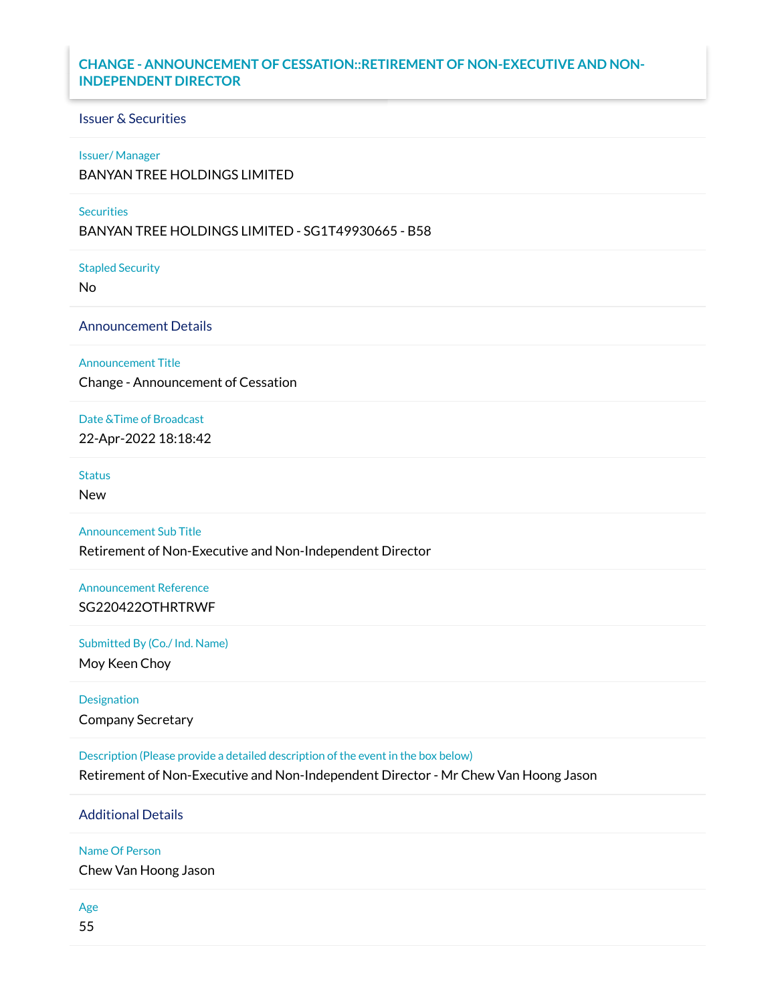## **CHANGE - ANNOUNCEMENT OF CESSATION::RETIREMENT OF NON-EXECUTIVE AND NON-INDEPENDENT DIRECTOR**

# Issuer & Securities

### Issuer/ Manager

BANYAN TREE HOLDINGS LIMITED

#### **Securities**

BANYAN TREE HOLDINGS LIMITED - SG1T49930665 - B58

Stapled Security

No

Announcement Details

Announcement Title

Change - Announcement of Cessation

Date &Time of Broadcast

22-Apr-2022 18:18:42

**Status** 

New

Announcement Sub Title

Retirement of Non-Executive and Non-Independent Director

Announcement Reference SG220422OTHRTRWF

Submitted By (Co./ Ind. Name)

Moy Keen Choy

Designation Company Secretary

Description (Please provide a detailed description of the event in the box below)

Retirement of Non-Executive and Non-Independent Director - Mr Chew Van Hoong Jason

Additional Details

Name Of Person

Chew Van Hoong Jason

Age

55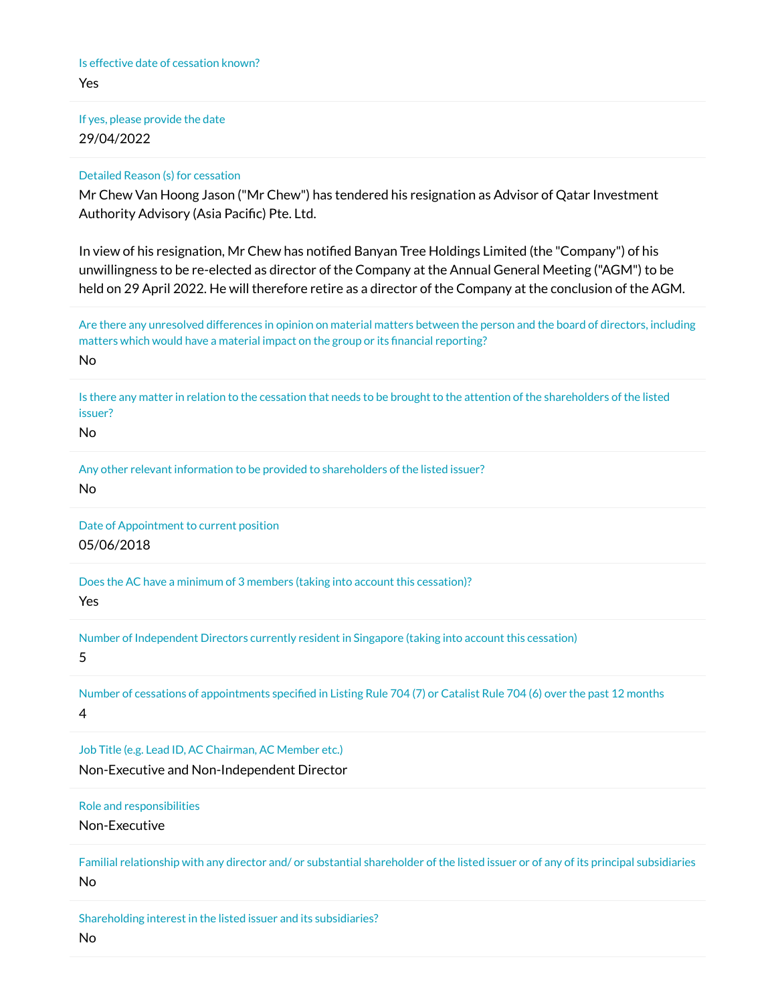If yes, please provide the date 29/04/2022

### Detailed Reason (s) for cessation

Mr Chew Van Hoong Jason ("Mr Chew") has tendered his resignation as Advisor of Qatar Investment Authority Advisory (Asia Pacific) Pte. Ltd.

In view of his resignation, Mr Chew has notified Banyan Tree Holdings Limited (the "Company") of his unwillingness to be re-elected as director of the Company at the Annual General Meeting ("AGM") to be held on 29 April 2022. He will therefore retire as a director of the Company at the conclusion of the AGM.

Are there any unresolved differences in opinion on material matters between the person and the board of directors, including matters which would have a material impact on the group or its financial reporting? No

Is there any matter in relation to the cessation that needs to be brought to the attention of the shareholders of the listed issuer?

No

Any other relevant information to be provided to shareholders of the listed issuer? No

Date of Appointment to current position 05/06/2018

Does the AC have a minimum of 3 members (taking into account this cessation)?

Yes

Number of Independent Directors currently resident in Singapore (taking into account this cessation)

5

Number of cessations of appointments specified in Listing Rule 704 (7) or Catalist Rule 704 (6) over the past 12 months 4

Job Title (e.g. Lead ID, AC Chairman, AC Member etc.) Non-Executive and Non-Independent Director

Role and responsibilities

Non-Executive

Familial relationship with any director and/ or substantial shareholder of the listed issuer or of any of its principal subsidiaries No

Shareholding interest in the listed issuer and its subsidiaries? No